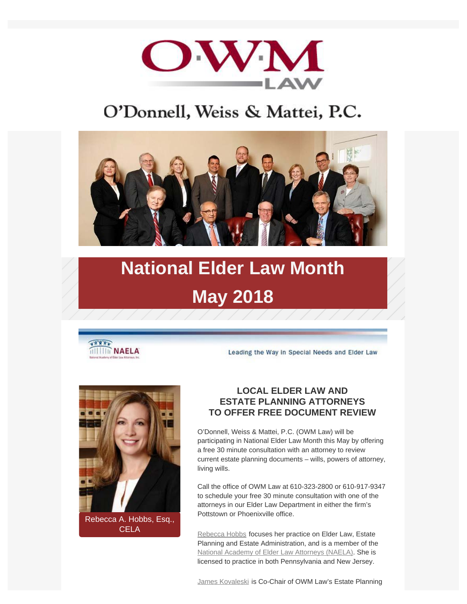

## O'Donnell, Weiss & Mattei, P.C.



# **National Elder Law Month May 2018**



Leading the Way in Special Needs and Elder Law



[Rebecca A. Hobbs, Esq.,](http://www.owmlaw.com/attorneys/rebecca-a-hobbs/) **[CELA](http://www.owmlaw.com/attorneys/rebecca-a-hobbs/)** 

### **LOCAL ELDER LAW AND ESTATE PLANNING ATTORNEYS TO OFFER FREE DOCUMENT REVIEW**

O'Donnell, Weiss & Mattei, P.C. (OWM Law) will be participating in National Elder Law Month this May by offering a free 30 minute consultation with an attorney to review current estate planning documents – wills, powers of attorney, living wills.

Call the office of OWM Law at 610-323-2800 or 610-917-9347 to schedule your free 30 minute consultation with one of the attorneys in our Elder Law Department in either the firm's Pottstown or Phoenixville office.

[Rebecca Hobbs](http://www.owmlaw.com/attorneys/rebecca-a-hobbs/) focuses her practice on Elder Law, Estate Planning and Estate Administration, and is a member of the [National Academy of Elder Law Attorneys \(NAELA\)](https://www.naela.org/). She is licensed to practice in both Pennsylvania and New Jersey.

[James Kovaleski](http://www.owmlaw.com/attorneys/james-c-kovaleski/) is Co-Chair of OWM Law's Estate Planning